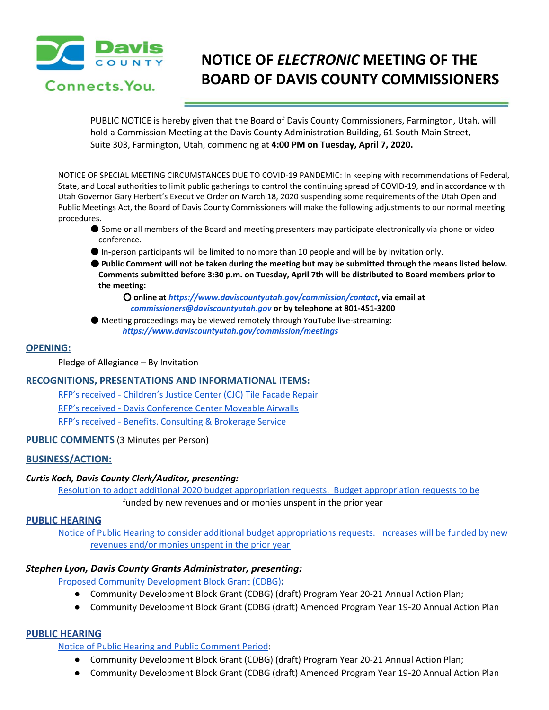

# **NOTICE OF** *ELECTRONIC* **MEETING OF THE BOARD OF DAVIS COUNTY COMMISSIONERS**

PUBLIC NOTICE is hereby given that the Board of Davis County Commissioners, Farmington, Utah, will hold a Commission Meeting at the Davis County Administration Building, 61 South Main Street, Suite 303, Farmington, Utah, commencing at **4:00 PM on Tuesday, April 7, 2020.**

NOTICE OF SPECIAL MEETING CIRCUMSTANCES DUE TO COVID-19 PANDEMIC: In keeping with recommendations of Federal, State, and Local authorities to limit public gatherings to control the continuing spread of COVID-19, and in accordance with Utah Governor Gary Herbert's Executive Order on March 18, 2020 suspending some requirements of the Utah Open and Public Meetings Act, the Board of Davis County Commissioners will make the following adjustments to our normal meeting procedures.

- Some or all members of the Board and meeting presenters may participate electronically via phone or video conference.
- In-person participants will be limited to no more than 10 people and will be by invitation only.

● Public Comment will not be taken during the meeting but may be submitted through the means listed below. **Comments submitted before 3:30 p.m. on Tuesday, April 7th will be distributed to Board members prior to the meeting:**

○ **online at** *https://www.daviscountyutah.gov/commission/contact***, via email at** *commissioners@daviscountyutah.gov* **or by telephone at 801-451-3200**

● Meeting proceedings may be viewed remotely through YouTube live-streaming: *https://www.daviscountyutah.gov/commission/meetings*

# **OPENING:**

Pledge of Allegiance – By Invitation

# **RECOGNITIONS, PRESENTATIONS AND INFORMATIONAL ITEMS:**

RFP's received - [Children's](https://drive.google.com/a/co.davis.ut.us/file/d/1uuaWJlu_UsMdXRyGiYYuBgQe1yQbDPiV/view?usp=drivesdk) Justice Center (CJC) Tile Facade Repair RFP's received - Davis [Conference](https://drive.google.com/a/co.davis.ut.us/file/d/1gj461wIheTzLYFSZY9WkJ7j7LZcWH0W-/view?usp=drivesdk) Center Moveable Airwalls RFP's received - Benefits. [Consulting](https://drive.google.com/a/co.davis.ut.us/file/d/1afSlc6KHRXCBGfOQydp4V-MvTfPkk9A3/view?usp=drivesdk) & Brokerage Service

# **PUBLIC COMMENTS** (3 Minutes per Person)

# **BUSINESS/ACTION:**

# *Curtis Koch, Davis County Clerk/Auditor, presenting:*

Resolution to adopt additional 2020 budget appropriation requests. Budget [appropriation](https://drive.google.com/a/co.davis.ut.us/file/d/1CjEAB6hd2Y7nTtAYAKjwNtkzJLOIF262/view?usp=drivesdk) requests to be funded by new revenues and or monies unspent in the prior year

## **PUBLIC HEARING**

Notice of Public Hearing to consider additional budget [appropriations](https://drive.google.com/a/co.davis.ut.us/file/d/1zkDee4EBnThxAr6K5W17NgDJ2AOUtNpy/view?usp=drivesdk) requests. Increases will be funded by new [revenues](https://drive.google.com/a/co.davis.ut.us/file/d/1zkDee4EBnThxAr6K5W17NgDJ2AOUtNpy/view?usp=drivesdk) and/or monies unspent in the prior year

# *Stephen Lyon, Davis County Grants Administrator, presenting:*

Proposed Community [Development](https://drive.google.com/a/co.davis.ut.us/file/d/1uHYv0iR3Hxr3hjQuKAG3rb_7B3vwhY_s/view?usp=drivesdk) Block Grant (CDBG)**:**

- Community Development Block Grant (CDBG) (draft) Program Year 20-21 Annual Action Plan;
- Community Development Block Grant (CDBG (draft) Amended Program Year 19-20 Annual Action Plan

# **PUBLIC HEARING**

Notice of Public Hearing and Public [Comment](https://drive.google.com/a/co.davis.ut.us/file/d/1-rp0yN8q9yYXfrm2uf3Gc_WFlzRWMP92/view?usp=drivesdk) Period:

- Community Development Block Grant (CDBG) (draft) Program Year 20-21 Annual Action Plan;
- Community Development Block Grant (CDBG (draft) Amended Program Year 19-20 Annual Action Plan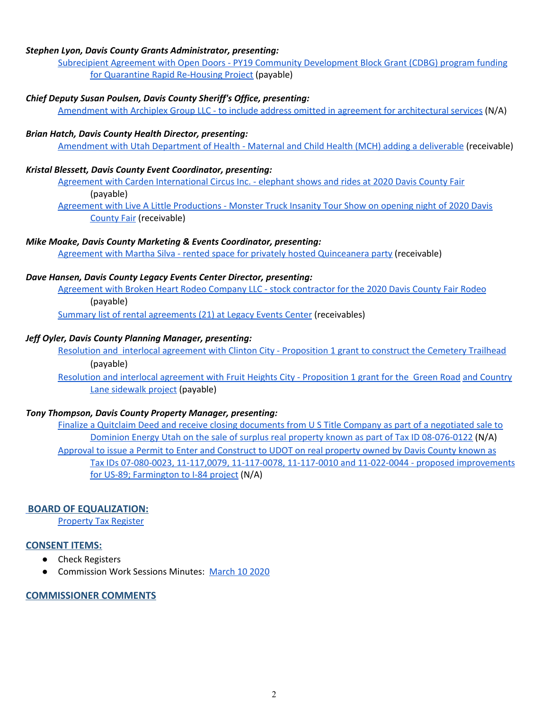## *Stephen Lyon, Davis County Grants Administrator, presenting:*

Subrecipient Agreement with Open Doors - PY19 Community [Development](https://drive.google.com/a/co.davis.ut.us/file/d/1uEih-lta_uPrZlD-nSorB1Ofu-7UJ0OH/view?usp=drivesdk) Block Grant (CDBG) program funding for Quarantine Rapid [Re-Housing](https://drive.google.com/a/co.davis.ut.us/file/d/1uEih-lta_uPrZlD-nSorB1Ofu-7UJ0OH/view?usp=drivesdk) Project (payable)

## *Chief Deputy Susan Poulsen, Davis County Sheriff's Office, presenting:*

Amendment with Archiplex Group LLC - to include address omitted in agreement for [architectural](https://drive.google.com/a/co.davis.ut.us/file/d/1sYCspsGBU9grBhmiNcvQnKuVyp_iAIVZ/view?usp=drivesdk) services (N/A)

#### *Brian Hatch, Davis County Health Director, presenting:*

[Amendment](https://drive.google.com/a/co.davis.ut.us/file/d/1JYPZ5KU7l6AWkgxr6SMhgKC4oZoaxIvJ/view?usp=drivesdk) with Utah Department of Health - Maternal and Child Health (MCH) adding a deliverable (receivable)

## *Kristal Blessett, Davis County Event Coordinator, presenting:*

Agreement with Carden [International](https://drive.google.com/a/co.davis.ut.us/file/d/16yqAfGkY9QjBhnjYNw7Yj82nSv32kwsV/view?usp=drivesdk) Circus Inc. - elephant shows and rides at 2020 Davis County Fair (payable)

Agreement with Live A Little [Productions](https://drive.google.com/a/co.davis.ut.us/file/d/1zmzCIVRfU_6BeXmSDpFKaZLRfltcMNi6/view?usp=drivesdk) - Monster Truck Insanity Tour Show on opening night of 2020 Davis [County](https://drive.google.com/a/co.davis.ut.us/file/d/1zmzCIVRfU_6BeXmSDpFKaZLRfltcMNi6/view?usp=drivesdk) Fair (receivable)

## *Mike Moake, Davis County Marketing & Events Coordinator, presenting:*

Agreement with Martha Silva - rented space for privately hosted [Quinceanera](https://drive.google.com/a/co.davis.ut.us/file/d/19erOznucFvP9RlmT_Io0N1x9wi8Abq6X/view?usp=drivesdk) party (receivable)

#### *Dave Hansen, Davis County Legacy Events Center Director, presenting:*

[Agreement](https://drive.google.com/a/co.davis.ut.us/file/d/1V2RFXD2yuHv2OlYJPCJMAjzlBPjBsoKm/view?usp=drivesdk) with Broken Heart Rodeo Company LLC - stock contractor for the 2020 Davis County Fair Rodeo (payable)

Summary list of rental [agreements](https://drive.google.com/a/co.davis.ut.us/file/d/1E1I73tzIBcM912DmGrXEDfCKefN_6CmB/view?usp=drivesdk) (21) at Legacy Events Center (receivables)

#### *Jeff Oyler, Davis County Planning Manager, presenting:*

Resolution and interlocal agreement with Clinton City - [Proposition](https://drive.google.com/a/co.davis.ut.us/file/d/1G891OlO5ByQ8Qdb1-8dgmQv3wTpThYT_/view?usp=drivesdk) 1 grant to construct the Cemetery Trailhead (payable)

Resolution and interlocal agreement with Fruit Heights City - [Proposition](https://drive.google.com/a/co.davis.ut.us/file/d/1t8lh0BaewyBKwUhmCM6dNWJ3M3pZTmCM/view?usp=drivesdk) 1 grant for the Green Road and [Country](https://drive.google.com/a/co.davis.ut.us/file/d/1t8lh0BaewyBKwUhmCM6dNWJ3M3pZTmCM/view?usp=drivesdk) Lane [sidewalk](https://drive.google.com/a/co.davis.ut.us/file/d/1t8lh0BaewyBKwUhmCM6dNWJ3M3pZTmCM/view?usp=drivesdk) project (payable)

#### *Tony Thompson, Davis County Property Manager, presenting:*

Finalize a Quitclaim Deed and receive closing [documents](https://drive.google.com/a/co.davis.ut.us/file/d/1Sg1Ky-P7FUfps3Xxe0dP5WAokNqWTQo3/view?usp=drivesdk) from U S Title Company as part of a negotiated sale to Dominion Energy Utah on the sale of surplus real property known as part of Tax ID [08-076-0122](https://drive.google.com/a/co.davis.ut.us/file/d/1Sg1Ky-P7FUfps3Xxe0dP5WAokNqWTQo3/view?usp=drivesdk) (N/A[\)](https://drive.google.com/a/co.davis.ut.us/file/d/1Sg1Ky-P7FUfps3Xxe0dP5WAokNqWTQo3/view?usp=drivesdk) Approval to issue a Permit to Enter and [Construct](https://drive.google.com/a/co.davis.ut.us/file/d/1pIKSkKJ9-qD9ojkfwpLzx-LRPF2K6Z95/view?usp=drivesdk) to UDOT on real property owned by Davis County known as Tax IDs 07-080-0023, 11-117,0079, 11-117-0078, 11-117-0010 and 11-022-0044 - proposed [improvements](https://drive.google.com/a/co.davis.ut.us/file/d/1pIKSkKJ9-qD9ojkfwpLzx-LRPF2K6Z95/view?usp=drivesdk) for US-89; [Farmington](https://drive.google.com/a/co.davis.ut.us/file/d/1pIKSkKJ9-qD9ojkfwpLzx-LRPF2K6Z95/view?usp=drivesdk) to I-84 project (N/A)

## **[B](https://drive.google.com/a/co.davis.ut.us/file/d/1pIKSkKJ9-qD9ojkfwpLzx-LRPF2K6Z95/view?usp=drivesdk)OARD OF EQUALIZATION:**

[Property](https://drive.google.com/a/co.davis.ut.us/file/d/1dHrE5cmT-ljiXeL1CFVKVP6pYpxSCTUq/view?usp=drivesdk) Tax Register

## **CONSENT ITEMS:**

- Check Registers
- Commission Work Sessions Minutes: [March](https://drive.google.com/a/co.davis.ut.us/file/d/1aBXiwyF58KcarTb37UzEg2Fab4QgNwFn/view?usp=drivesdk) 10 2020

## **COMMISSIONER COMMENTS**